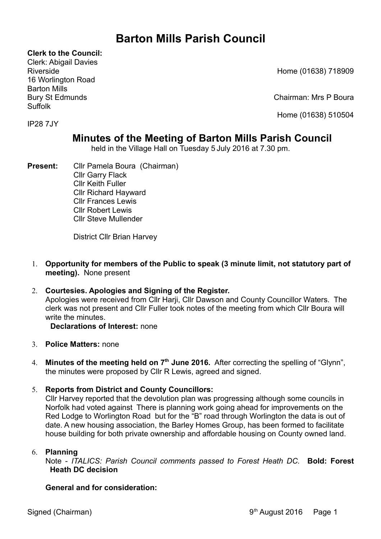# **Barton Mills Parish Council**

**Clerk to the Council:**

Clerk: Abigail Davies 16 Worlington Road Barton Mills Suffolk

Riverside Home (01638) 718909

Bury St Edmunds Chairman: Mrs P Boura

Home (01638) 510504

# IP28 7JY

# **Minutes of the Meeting of Barton Mills Parish Council**

held in the Village Hall on Tuesday 5 July 2016 at 7.30 pm.

**Present:** Cllr Pamela Boura (Chairman) Cllr Garry Flack Cllr Keith Fuller Cllr Richard Hayward Cllr Frances Lewis Cllr Robert Lewis Cllr Steve Mullender

District Cllr Brian Harvey

- 1. **Opportunity for members of the Public to speak (3 minute limit, not statutory part of meeting).** None present
- 2. **Courtesies. Apologies and Signing of the Register.** Apologies were received from Cllr Harii, Cllr Dawson and County Councillor Waters. The clerk was not present and Cllr Fuller took notes of the meeting from which Cllr Boura will write the minutes.

# **Declarations of Interest:** none

- 3. **Police Matters:** none
- 4. **Minutes of the meeting held on 7th June 2016.** After correcting the spelling of "Glynn", the minutes were proposed by Cllr R Lewis, agreed and signed.
- 5. **Reports from District and County Councillors:**

Cllr Harvey reported that the devolution plan was progressing although some councils in Norfolk had voted against There is planning work going ahead for improvements on the Red Lodge to Worlington Road but for the "B" road through Worlington the data is out of date. A new housing association, the Barley Homes Group, has been formed to facilitate house building for both private ownership and affordable housing on County owned land.

# 6. **Planning**

Note - *ITALICS: Parish Council comments passed to Forest Heath DC.* **Bold: Forest Heath DC decision**

# **General and for consideration:**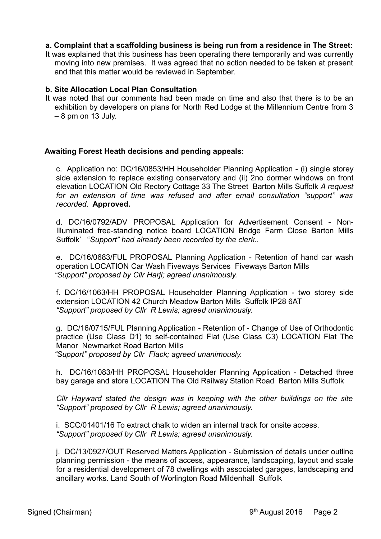## **a. Complaint that a scaffolding business is being run from a residence in The Street:**

It was explained that this business has been operating there temporarily and was currently moving into new premises. It was agreed that no action needed to be taken at present and that this matter would be reviewed in September.

#### **b. Site Allocation Local Plan Consultation**

It was noted that our comments had been made on time and also that there is to be an exhibition by developers on plans for North Red Lodge at the Millennium Centre from 3  $-8$  pm on 13 July.

#### **Awaiting Forest Heath decisions and pending appeals:**

c. Application no: DC/16/0853/HH Householder Planning Application - (i) single storey side extension to replace existing conservatory and (ii) 2no dormer windows on front elevation LOCATION Old Rectory Cottage 33 The Street Barton Mills Suffolk *A request for an extension of time was refused and after email consultation "support" was recorded.* **Approved.**

d. DC/16/0792/ADV PROPOSAL Application for Advertisement Consent - Non-Illuminated free-standing notice board LOCATION Bridge Farm Close Barton Mills Suffolk' "*Support" had already been recorded by the clerk..*

e. DC/16/0683/FUL PROPOSAL Planning Application - Retention of hand car wash operation LOCATION Car Wash Fiveways Services Fiveways Barton Mills *"Support" proposed by Cllr Harji; agreed unanimously.*

f. DC/16/1063/HH PROPOSAL Householder Planning Application - two storey side extension LOCATION 42 Church Meadow Barton Mills Suffolk IP28 6AT *"Support" proposed by Cllr R Lewis; agreed unanimously.*

g. DC/16/0715/FUL Planning Application - Retention of - Change of Use of Orthodontic practice (Use Class D1) to self-contained Flat (Use Class C3) LOCATION Flat The Manor Newmarket Road Barton Mills *"Support" proposed by Cllr Flack; agreed unanimously.*

h. DC/16/1083/HH PROPOSAL Householder Planning Application - Detached three bay garage and store LOCATION The Old Railway Station Road Barton Mills Suffolk

*Cllr Hayward stated the design was in keeping with the other buildings on the site "Support" proposed by Cllr R Lewis; agreed unanimously.*

i. SCC/01401/16 To extract chalk to widen an internal track for onsite access. *"Support" proposed by Cllr R Lewis; agreed unanimously.*

j. DC/13/0927/OUT Reserved Matters Application - Submission of details under outline planning permission - the means of access, appearance, landscaping, layout and scale for a residential development of 78 dwellings with associated garages, landscaping and ancillary works. Land South of Worlington Road Mildenhall Suffolk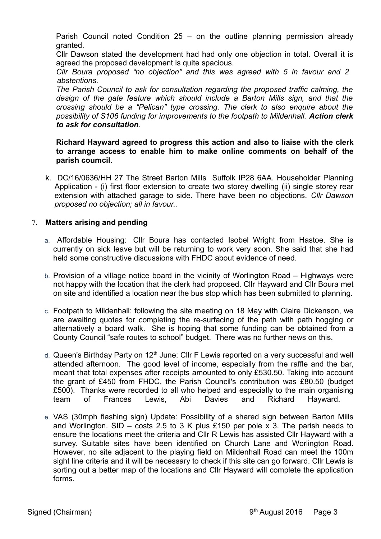Parish Council noted Condition 25 – on the outline planning permission already granted.

Cllr Dawson stated the development had had only one objection in total. Overall it is agreed the proposed development is quite spacious.

*Cllr Boura proposed "no objection" and this was agreed with 5 in favour and 2 abstentions.*

*The Parish Council to ask for consultation regarding the proposed traffic calming, the design of the gate feature which should include a Barton Mills sign, and that the crossing should be a "Pelican" type crossing. The clerk to also enquire about the possibility of S106 funding for improvements to the footpath to Mildenhall. Action clerk to ask for consultation*.

# **Richard Hayward agreed to progress this action and also to liaise with the clerk to arrange access to enable him to make online comments on behalf of the parish coumcil.**

k. DC/16/0636/HH 27 The Street Barton Mills Suffolk IP28 6AA. Householder Planning Application - (i) first floor extension to create two storey dwelling (ii) single storey rear extension with attached garage to side. There have been no objections. *Cllr Dawson proposed no objection; all in favour..*

# 7. **Matters arising and pending**

- a. Affordable Housing: Cllr Boura has contacted Isobel Wright from Hastoe. She is currently on sick leave but will be returning to work very soon. She said that she had held some constructive discussions with FHDC about evidence of need.
- b. Provision of a village notice board in the vicinity of Worlington Road Highways were not happy with the location that the clerk had proposed. Cllr Hayward and Cllr Boura met on site and identified a location near the bus stop which has been submitted to planning.
- c. Footpath to Mildenhall: following the site meeting on 18 May with Claire Dickenson, we are awaiting quotes for completing the re-surfacing of the path with path hogging or alternatively a board walk. She is hoping that some funding can be obtained from a County Council "safe routes to school" budget. There was no further news on this.
- d. Queen's Birthday Party on  $12<sup>th</sup>$  June: Cllr F Lewis reported on a very successful and well attended afternoon. The good level of income, especially from the raffle and the bar, meant that total expenses after receipts amounted to only £530.50. Taking into account the grant of £450 from FHDC, the Parish Council's contribution was £80.50 (budget £500). Thanks were recorded to all who helped and especially to the main organising team of Frances Lewis, Abi Davies and Richard Hayward.
- e. VAS (30mph flashing sign) Update: Possibility of a shared sign between Barton Mills and Worlington. SID – costs 2.5 to 3 K plus £150 per pole x 3. The parish needs to ensure the locations meet the criteria and Cllr R Lewis has assisted Cllr Hayward with a survey. Suitable sites have been identified on Church Lane and Worlington Road. However, no site adjacent to the playing field on Mildenhall Road can meet the 100m sight line criteria and it will be necessary to check if this site can go forward. Cllr Lewis is sorting out a better map of the locations and Cllr Hayward will complete the application forms.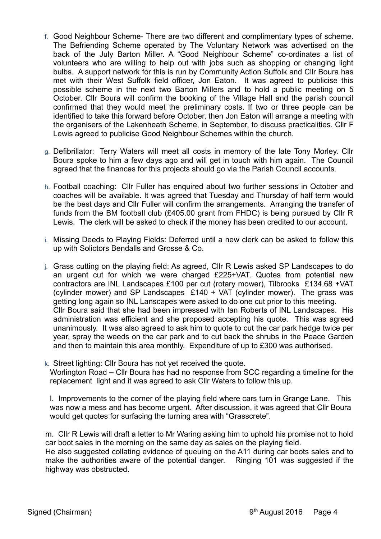- f. Good Neighbour Scheme- There are two different and complimentary types of scheme. The Befriending Scheme operated by The Voluntary Network was advertised on the back of the July Barton Miller. A "Good Neighbour Scheme" co-ordinates a list of volunteers who are willing to help out with jobs such as shopping or changing light bulbs. A support network for this is run by Community Action Suffolk and Cllr Boura has met with their West Suffolk field officer, Jon Eaton. It was agreed to publicise this possible scheme in the next two Barton Millers and to hold a public meeting on 5 October. Cllr Boura will confirm the booking of the Village Hall and the parish council confirmed that they would meet the preliminary costs. If two or three people can be identified to take this forward before October, then Jon Eaton will arrange a meeting with the organisers of the Lakenheath Scheme, in September, to discuss practicalities. Cllr F Lewis agreed to publicise Good Neighbour Schemes within the church.
- g. Defibrillator: Terry Waters will meet all costs in memory of the late Tony Morley. Cllr Boura spoke to him a few days ago and will get in touch with him again. The Council agreed that the finances for this projects should go via the Parish Council accounts.
- h. Football coaching: Cllr Fuller has enquired about two further sessions in October and coaches will be available. It was agreed that Tuesday and Thursday of half term would be the best days and Cllr Fuller will confirm the arrangements. Arranging the transfer of funds from the BM football club (£405.00 grant from FHDC) is being pursued by Cllr R Lewis. The clerk will be asked to check if the money has been credited to our account.
- i. Missing Deeds to Playing Fields: Deferred until a new clerk can be asked to follow this up with Solictors Bendalls and Grosse & Co.
- j. Grass cutting on the playing field: As agreed, Cllr R Lewis asked SP Landscapes to do an urgent cut for which we were charged £225+VAT. Quotes from potential new contractors are INL Landscapes £100 per cut (rotary mower), Tilbrooks £134.68 +VAT (cylinder mower) and SP Landscapes £140 + VAT (cylinder mower). The grass was getting long again so INL Lanscapes were asked to do one cut prior to this meeting. Cllr Boura said that she had been impressed with Ian Roberts of INL Landscapes. His administration was efficient and she proposed accepting his quote. This was agreed unanimously. It was also agreed to ask him to quote to cut the car park hedge twice per year, spray the weeds on the car park and to cut back the shrubs in the Peace Garden and then to maintain this area monthly. Expenditure of up to £300 was authorised.
- k. Street lighting: Cllr Boura has not yet received the quote. Worlington Road **–** Cllr Boura has had no response from SCC regarding a timeline for the replacement light and it was agreed to ask Cllr Waters to follow this up.

l. Improvements to the corner of the playing field where cars turn in Grange Lane. This was now a mess and has become urgent. After discussion, it was agreed that Cllr Boura would get quotes for surfacing the turning area with "Grasscrete".

m.Cllr R Lewis will draft a letter to Mr Waring asking him to uphold his promise not to hold car boot sales in the morning on the same day as sales on the playing field.

He also suggested collating evidence of queuing on the A11 during car boots sales and to make the authorities aware of the potential danger.Ringing 101 was suggested if the highway was obstructed.